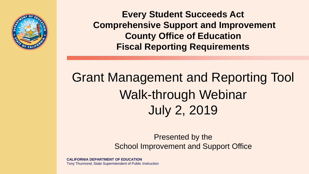

**Every Student Succeeds Act Comprehensive Support and Improvement County Office of Education Fiscal Reporting Requirements** 

Grant Management and Reporting Tool Walk-through Webinar July 2, 2019

> Presented by the School Improvement and Support Office

**CALIFORNIA DEPARTMENT OF EDUCATION** Tony Thurmond, State Superintendent of Public Instruction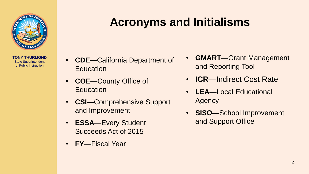

## **Acronyms and Initialisms**

- Education **and Reporting Tool**
- 
- **CSI**—Comprehensive Support Agency
- **ESSA**—Every Student and Support Office Succeeds Act of 2015
- **FY**—Fiscal Year
- **GMART**—Grant Management **CDE**—California Department of
- **COE**—County Office of **ICR**—Indirect Cost Rate
- Education **LEA**—Local Educational
- and Improvement **SISO**—School Improvement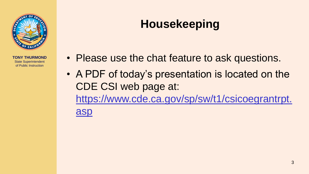

# **Housekeeping**

- Please use the chat feature to ask questions.
- A PDF of today's presentation is located on the CDE CSI web page at: [https://www.cde.ca.gov/sp/sw/t1/csicoegrantrpt.](https://www.cde.ca.gov/sp/sw/t1/csicoegrantrpt.asp) asp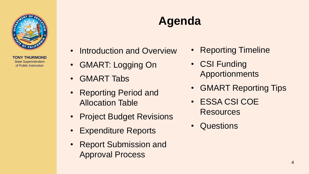

# **Agenda**

- Introduction and Overview Reporting Timeline
- GMART: Logging On CSI Funding
- GMART Tabs
- Reporting Period and Allocation Table • ESSA CSI COE
- Project Budget Revisions
- Expenditure Reports
- Report Submission and Approval Process
- 
- Apportionments
- GMART Reporting Tips
- **Resources**
- **Questions**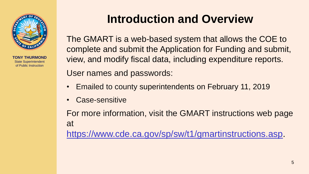

## **Introduction and Overview**

The GMART is a web-based system that allows the COE to complete and submit the Application for Funding and submit, view, and modify fiscal data, including expenditure reports. User names and passwords:

- Emailed to county superintendents on February 11, 2019
- Case-sensitive

For more information, visit the GMART instructions web page at <https://www.cde.ca.gov/sp/sw/t1/gmartinstructions.asp>.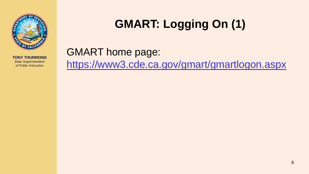

# **GMART: Logging On (1)**

## GMART home page: <https://www3.cde.ca.gov/gmart/gmartlogon.aspx>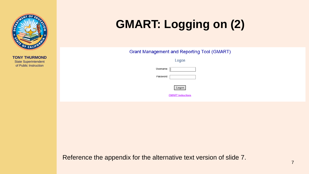

# **GMART: Logging on (2)**

Grant Management and Reporting Tool (GMART)

Logon

| Isername: |  |
|-----------|--|
|           |  |



**GMART Instructions** 

Reference the appendix for the alternative text version of slide 7.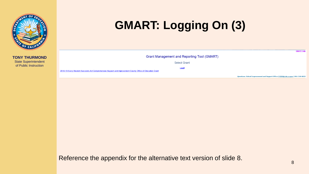

# **GMART: Logging On (3)**

| Grant Management and Reporting Tool (GMART)                                                                       |  |  |  |
|-------------------------------------------------------------------------------------------------------------------|--|--|--|
| <b>Select Grant</b>                                                                                               |  |  |  |
| Logo<br>2018-19 Every Student Succeeds Act Comprehensive Support and Improvement County Office of Education Grant |  |  |  |
| Questions: School Improvement and Support Office   SISO@cde.ca.gov   916-319-0833                                 |  |  |  |

Reference the appendix for the alternative text version of slide 8.

**GMART Help**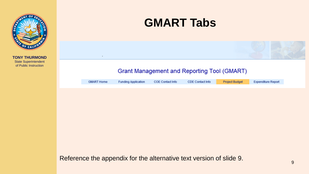

## **GMART Tabs**

#### **Grant Management and Reporting Tool (GMART)**

| <b>Project Budget</b><br>CDE Contact Info<br>COE Contact Info<br><b>Funding Application</b><br><b>GMART Home</b> | <b>Expenditure Report</b> |
|------------------------------------------------------------------------------------------------------------------|---------------------------|
|------------------------------------------------------------------------------------------------------------------|---------------------------|

Reference the appendix for the alternative text version of slide 9.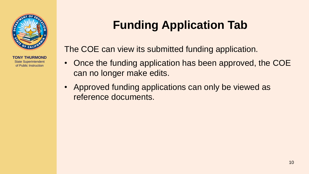

# **Funding Application Tab**

The COE can view its submitted funding application.

- Once the funding application has been approved, the COE can no longer make edits.
- Approved funding applications can only be viewed as reference documents.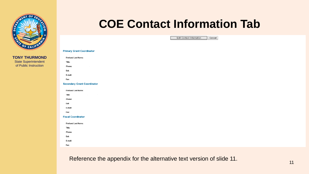

### **COE Contact Information Tab**

**Edit Contact Information** Cancel

#### **Primary Grant Coordinator First and Last Name:** Title: Phone: Ext: E-mail: Fax: **Secondary Grant Coordinator First and Last Name:** Title: Phone: Ext: E-mail: Fax: **Fiscal Coordinator First and Last Name:** Title: Phone: Ext: E-mail: Fax:

Reference the appendix for the alternative text version of slide 11.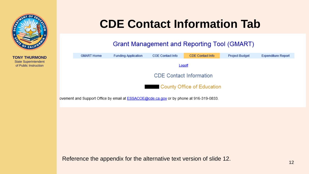

## **CDE Contact Information Tab**

#### **Grant Management and Reporting Tool (GMART)**

|                                   | <b>GMART Home</b>              | <b>Funding Application</b> | COE Contact Info | <b>CDE Contact Info</b> | <b>Project Budget</b> | <b>Expenditure Report</b> |  |
|-----------------------------------|--------------------------------|----------------------------|------------------|-------------------------|-----------------------|---------------------------|--|
|                                   |                                |                            |                  | Logoff                  |                       |                           |  |
|                                   |                                |                            |                  |                         |                       |                           |  |
|                                   | <b>CDE Contact Information</b> |                            |                  |                         |                       |                           |  |
|                                   |                                |                            |                  |                         |                       |                           |  |
| <b>County Office of Education</b> |                                |                            |                  |                         |                       |                           |  |
|                                   |                                |                            |                  |                         |                       |                           |  |

ovement and Support Office by email at **ESSACOE@cde.ca.gov** or by phone at 916-319-0833.

Reference the appendix for the alternative text version of slide 12.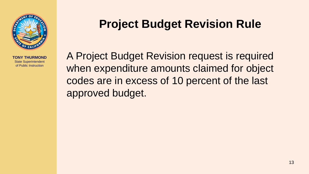

## **Project Budget Revision Rule**

A Project Budget Revision request is required when expenditure amounts claimed for object codes are in excess of 10 percent of the last approved budget.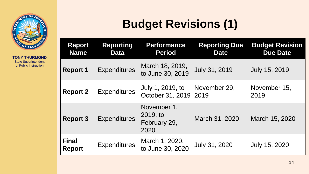

# **Budget Revisions (1)**

| <b>Report</b><br><b>Name</b>  | <b>Reporting</b><br><b>Data</b> | <b>Performance</b><br><b>Period</b>             | <b>Reporting Due</b><br><b>Date</b> | <b>Budget Revision</b><br><b>Due Date</b> |
|-------------------------------|---------------------------------|-------------------------------------------------|-------------------------------------|-------------------------------------------|
| <b>Report 1</b>               | <b>Expenditures</b>             | March 18, 2019,<br>to June 30, 2019             | <b>July 31, 2019</b>                | <b>July 15, 2019</b>                      |
| <b>Report 2</b>               | <b>Expenditures</b>             | July 1, 2019, to<br>October 31, 2019 2019       | November 29,                        | November 15,<br>2019                      |
| <b>Report 3</b>               | <b>Expenditures</b>             | November 1,<br>2019, to<br>February 29,<br>2020 | March 31, 2020                      | March 15, 2020                            |
| <b>Final</b><br><b>Report</b> | <b>Expenditures</b>             | March 1, 2020,<br>to June 30, 2020              | July 31, 2020                       | July 15, 2020                             |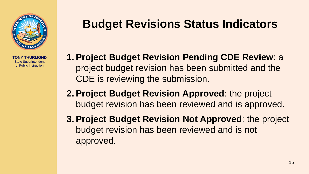

## **Budget Revisions Status Indicators**

- **1. Project Budget Revision Pending CDE Review**: a project budget revision has been submitted and the CDE is reviewing the submission.
- **2. Project Budget Revision Approved**: the project budget revision has been reviewed and is approved.
- **3. Project Budget Revision Not Approved**: the project budget revision has been reviewed and is not approved.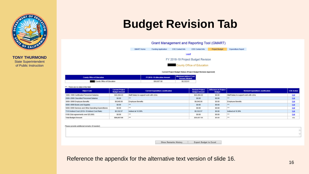

## **Budget Revision Tab**



Current Project Budget Status: (Project Budget Revision Approved)

| <b>County Office of Education</b> | FY 2018-19 Allocation Amount | <b>Maximum Indirect Cost</b><br><b>Amount Allowed</b> |
|-----------------------------------|------------------------------|-------------------------------------------------------|
| County Office of Education        | \$56,657.00                  | \$5,332.61                                            |

| ** - There are no data in this field |  |
|--------------------------------------|--|
|--------------------------------------|--|

| <b>Object Code</b>                                  | <b>Current Project</b><br><b>Budget Amount</b> | <b>Current Expenditure Justification</b> | <b>Revised Project</b><br><b>Budget Amount</b> | Difference in Project<br><b>Budget</b> | <b>Revised Expenditure Justification</b> | <b>COE Action</b> |
|-----------------------------------------------------|------------------------------------------------|------------------------------------------|------------------------------------------------|----------------------------------------|------------------------------------------|-------------------|
| 1000-1999 Certificated Personnel Salaries           | \$42,284.43                                    | Staff Salary to support work with LEAs   | \$42,284.43                                    | \$0.00                                 | Staff Salary to support work with LEAs   | Edit              |
| 2000-2999 Classified Personnel Salaries             | \$0.00                                         | <b>A68</b>                               | \$0.00                                         | \$0.00                                 | <b>BRR</b>                               | Edit              |
| 3000-3999 Employee Benefits                         | \$9,040.00                                     | <b>Employee Benefits</b>                 | \$9,040.00                                     | \$0.00                                 | <b>Employee Benefits</b>                 | Edit              |
| 4000-4999 Books and Supplies                        | \$0.00                                         | ***                                      | \$0.00                                         | \$0.00                                 | <b>With</b>                              | Edit              |
| 5000-5999 Services and Other Operating Expenditures | \$0.00                                         | ***                                      | \$0.00                                         | \$0.00                                 | <b>GAA</b>                               | Edit              |
| 7310 Indirect Cost (2018-19 Indirect Cost Rate)     | \$5,332.57                                     | Indirect at 10.39%                       | \$5,332.57                                     | \$0.00                                 | Indirect at 10.39%                       | Edit              |
| 5100 (Sub-agreements over \$25,000)                 | \$0.00                                         | ***                                      | \$0.00                                         | \$0.00                                 | ***                                      | Edit              |
| <b>Total Budget Amount</b>                          | \$56,657.00                                    | ***                                      | \$56,657.00                                    | \$0.00                                 | <b>GAA</b>                               | n/a               |

Please provide additional remarks (if needed):

Show Remarks History

Export Budget to Excel

Reference the appendix for the alternative text version of slide 16.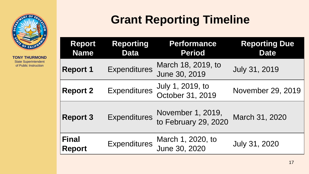

# **Grant Reporting Timeline**

| <b>Report</b><br><b>Name</b>  | Reporting<br><b>Data</b> | <b>Performance</b><br><b>Period</b>       | <b>Reporting Due</b><br><b>Date</b> |
|-------------------------------|--------------------------|-------------------------------------------|-------------------------------------|
| <b>Report 1</b>               | <b>Expenditures</b>      | March 18, 2019, to<br>June 30, 2019       | <b>July 31, 2019</b>                |
| <b>Report 2</b>               | <b>Expenditures</b>      | July 1, 2019, to<br>October 31, 2019      | November 29, 2019                   |
| <b>Report 3</b>               | <b>Expenditures</b>      | November 1, 2019,<br>to February 29, 2020 | March 31, 2020                      |
| <b>Final</b><br><b>Report</b> | <b>Expenditures</b>      | March 1, 2020, to<br>June 30, 2020        | July 31, 2020                       |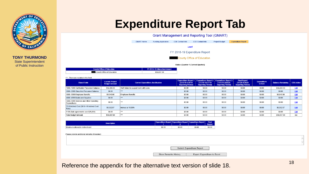

## **Expenditure Report Tab**

| Grant Management and Reporting Tool (GMART) |                            |                         |                         |                       |                           |
|---------------------------------------------|----------------------------|-------------------------|-------------------------|-----------------------|---------------------------|
| <b>GMART Home</b>                           | <b>Funding Application</b> | <b>COE Contact Info</b> | <b>CDE Contact Info</b> | <b>Project Budget</b> | <b>Expenditure Report</b> |
| Logoff                                      |                            |                         |                         |                       |                           |
| FY 2018-19 Expenditure Report               |                            |                         |                         |                       |                           |
| <b>County Office of Education</b>           |                            |                         |                         |                       |                           |
| Status: (Quarter: 1 (Current Quarter))      |                            |                         |                         |                       |                           |
| FY 2018-19 Allocation Amount                |                            |                         |                         |                       |                           |

| <b>County Office of Education</b> | <b>FY 2018-19 Allocation Amount</b> |  |
|-----------------------------------|-------------------------------------|--|
| r County Office of Education      | \$56,657.00                         |  |

#### \*\*\* - There are no data in this field

| <b>Object Code</b>                                     | <b>Current Project</b><br><b>Budget Amount</b> | <b>Current Expenditure Justification</b> | (3/18/19-6/30/19)<br><b>Reporting Period)</b> | <b>Expenditure Report 1   Expenditure Report 2  </b><br>(7/1/19-10/31/19)<br><b>Reporting Period)</b> | <b>Expenditure Report 3</b><br>(11/1/19-2/29/20<br><b>Reporting Period)</b> | <b>Final Report</b><br>(3/1/20-6/30/20)<br><b>Reporting Period)</b> | <b>Expenditure</b><br>to Date | <b>Balance Remaining</b> | <b>COE Action</b> |
|--------------------------------------------------------|------------------------------------------------|------------------------------------------|-----------------------------------------------|-------------------------------------------------------------------------------------------------------|-----------------------------------------------------------------------------|---------------------------------------------------------------------|-------------------------------|--------------------------|-------------------|
| 1000-1999 Certificated Personnel Salaries              | \$42,284.43                                    | Staff Salary to support work with LEAs   | \$0.00                                        | \$0.00                                                                                                | \$0.00                                                                      | \$0.00                                                              | \$0.00                        | \$42,284.43              | Edit              |
| 2000-2999 Classified Personnel Salaries                | \$0.00                                         | ***                                      | \$0.00                                        | \$0.00                                                                                                | \$0.00                                                                      | \$0.00                                                              | \$0.00                        | \$0.00                   | Edit              |
| 3000-3999 Employee Benefits                            | \$9,040.00                                     | <b>Employee Benefits</b>                 | \$0.00                                        | \$0.00                                                                                                | \$0.00                                                                      | \$0.00                                                              | \$0.00                        | \$9,040.00               | Edit              |
| 4000-4999 Books and Supplies                           | \$0.00                                         | ***                                      | \$0.00                                        | \$0.00                                                                                                | \$0.00                                                                      | \$0.00                                                              | \$0.00                        | \$0.00                   | Edit              |
| 5000-5999 Services and Other Operating<br>Expenditures | \$0.00                                         | $***$                                    | \$0.00                                        | \$0.00                                                                                                | \$0.00                                                                      | \$0.00                                                              | \$0.00                        | \$0.00                   | Edit              |
| 7310 Indirect Cost (2018-19 Indirect Cost<br>Rate)     | \$5,332.57                                     | Indirect at 10.39%                       | \$0.00                                        | \$0.00                                                                                                | \$0.00                                                                      | \$0.00                                                              | \$0.00                        | \$5,332.57               | Edit              |
| 5100 (Sub-agreements over \$25,000)                    | \$0.00                                         | ***                                      | \$0.00                                        | \$0.00                                                                                                | \$0.00                                                                      | \$0.00                                                              | \$0.00                        | \$0.00                   | Edit              |
| <b>Total Budget Amount</b>                             | \$56,657.00                                    | ***                                      | \$0.00                                        | \$0.00                                                                                                | \$0.00                                                                      | \$0.00                                                              | \$0.00                        | \$56,657.00              | n/a               |

| <b>Description</b>              |        |        | Expenditure Report   Expenditure Report   Expenditure Report | <b>Final</b><br>Report |
|---------------------------------|--------|--------|--------------------------------------------------------------|------------------------|
| Maximum allowable indirect cost | \$0.00 | \$0.00 | \$0.00                                                       | \$0.00                 |

| Please provide additional remarks (if needed): |                      |                                    |  |
|------------------------------------------------|----------------------|------------------------------------|--|
|                                                |                      |                                    |  |
|                                                |                      |                                    |  |
|                                                |                      |                                    |  |
|                                                |                      | Submit Expenditure Report          |  |
|                                                | Show Remarks History | <b>Export Expenditure to Excel</b> |  |

<sup>18</sup> Reference the appendix for the alternative text version of slide 18.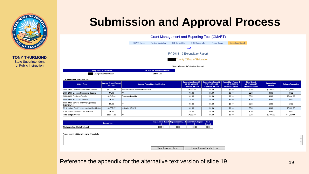

## **Submission and Approval Process**

| Grant Management and Reporting Tool (GMART) |                            |                         |                         |                       |                           |  |  |
|---------------------------------------------|----------------------------|-------------------------|-------------------------|-----------------------|---------------------------|--|--|
| <b>GMART Home</b>                           | <b>Funding Application</b> | <b>COE Contact Info</b> | <b>CDE Contact Info</b> | <b>Project Budget</b> | <b>Expenditure Report</b> |  |  |
| Logoff                                      |                            |                         |                         |                       |                           |  |  |
| FY 2018-19 Expenditure Report               |                            |                         |                         |                       |                           |  |  |
| <b>County Office of Education</b>           |                            |                         |                         |                       |                           |  |  |
| Status: (Quarter: 1 (Submitted Quarter))    |                            |                         |                         |                       |                           |  |  |

| <b>County Office of Education</b> | <b>FY 2018-19 Allocation Amount</b> |
|-----------------------------------|-------------------------------------|
| County Office of Education        | \$56,657.00                         |

| <b>Object Code</b>                                     | <b>Current Project Budget</b><br>Amount | <b>Current Expenditure Justification</b> | <b>Expenditure Report 1</b><br>(3/18/19-6/30/19)<br><b>Reporting Period)</b> | <b>Expenditure Report 2</b><br>(7/1/19-10/31/19)<br><b>Reporting Period)</b> | <b>Expenditure Report 3</b><br>(11/1/19-2/29/20<br><b>Reporting Period)</b> | <b>Final Report</b><br>(3/1/20-6/30/20<br><b>Reporting Period)</b> | <b>Expenditure</b><br>to Date | <b>Balance Remaining</b> |
|--------------------------------------------------------|-----------------------------------------|------------------------------------------|------------------------------------------------------------------------------|------------------------------------------------------------------------------|-----------------------------------------------------------------------------|--------------------------------------------------------------------|-------------------------------|--------------------------|
| 1000-1999 Certificated Personnel Salaries              | \$42,284.43                             | Staff Salary to support work with LEAs   | \$9,000.00                                                                   | \$0.00                                                                       | \$0.00                                                                      | \$0.00                                                             | \$9,000.00                    | \$33,284.43              |
| 2000-2999 Classified Personnel Salaries                | \$0.00                                  | ***                                      | \$0.00                                                                       | \$0.00                                                                       | \$0.00                                                                      | \$0.00                                                             | \$0.00                        | \$0.00                   |
| 3000-3999 Employee Benefits                            | \$9,040.00                              | <b>Employee Benefits</b>                 | \$0.00                                                                       | \$0.00                                                                       | \$0.00                                                                      | \$0.00                                                             | \$0.00                        | \$9,040.00               |
| 4000-4999 Books and Supplies                           | \$0.00                                  | ***                                      | \$0.00                                                                       | \$0.00                                                                       | \$0.00                                                                      | \$0.00                                                             | \$0.00                        | \$0.00                   |
| 5000-5999 Services and Other Operating<br>Expenditures | \$0.00                                  | ***                                      | \$0.00                                                                       | \$0.00                                                                       | \$0.00                                                                      | \$0.00                                                             | \$0.00                        | \$0.00                   |
| 7310 Indirect Cost (2018-19 Indirect Cost Rate)        | \$5.332.57                              | Indirect at 10.39%                       | \$0.00                                                                       | \$0.00                                                                       | \$0.00                                                                      | \$0.00                                                             | \$0.00                        | \$5,332.57               |
| 5100 (Sub-agreements over \$25,000)                    | \$0.00                                  | ***                                      | \$0.00                                                                       | \$0.00                                                                       | \$0.00                                                                      | \$0.00                                                             | \$0.00                        | \$0.00                   |
| <b>Total Budget Amount</b>                             | \$56,657.00                             | ***                                      | \$9,000.00                                                                   | \$0.00                                                                       | \$0.00                                                                      | \$0.00                                                             | \$9,000.00                    | \$47,657.00              |

| <b>Description</b>              |          |        | Expenditure Report Expenditure Report Expenditure Report | <b>Final</b><br>Report |
|---------------------------------|----------|--------|----------------------------------------------------------|------------------------|
| Maximum allowable indirect cost | \$935.10 | \$0.00 | \$0.00                                                   | \$0.00                 |

| Please provide additional remarks (if needed): |                                                            |  |
|------------------------------------------------|------------------------------------------------------------|--|
|                                                |                                                            |  |
|                                                |                                                            |  |
|                                                | Show Remarks History<br><b>Export Expenditure to Excel</b> |  |

Reference the appendix for the alternative text version of slide 19. 19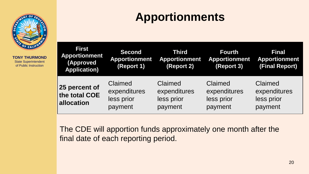

# **Apportionments**

| <b>First</b><br><b>Apportionment</b><br><b>(Approved</b><br><b>Application)</b> | <b>Second</b><br><b>Apportionment</b><br>(Report 1) | <b>Third</b><br><b>Apportionment</b><br>(Report 2) | <b>Fourth</b><br><b>Apportionment</b><br>(Report 3) | <b>Final</b><br><b>Apportionment</b><br>(Final Report) |
|---------------------------------------------------------------------------------|-----------------------------------------------------|----------------------------------------------------|-----------------------------------------------------|--------------------------------------------------------|
| 25 percent of<br>the total COE<br>allocation                                    | Claimed<br>expenditures<br>less prior<br>payment    | Claimed<br>expenditures<br>less prior<br>payment   | Claimed<br>expenditures<br>less prior<br>payment    | Claimed<br>expenditures<br>less prior<br>payment       |

The CDE will apportion funds approximately one month after the final date of each reporting period.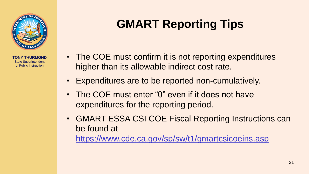

# **GMART Reporting Tips**

- The COE must confirm it is not reporting expenditures higher than its allowable indirect cost rate.
- Expenditures are to be reported non-cumulatively.
- The COE must enter "0" even if it does not have expenditures for the reporting period.
- GMART ESSA CSI COE Fiscal Reporting Instructions can be found at

<https://www.cde.ca.gov/sp/sw/t1/gmartcsicoeins.asp>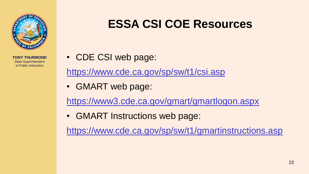

## **ESSA CSI COE Resources**

• CDE CSI web page:

<https://www.cde.ca.gov/sp/sw/t1/csi.asp>

• GMART web page:

<https://www3.cde.ca.gov/gmart/gmartlogon.aspx>

• GMART Instructions web page:

<https://www.cde.ca.gov/sp/sw/t1/gmartinstructions.asp>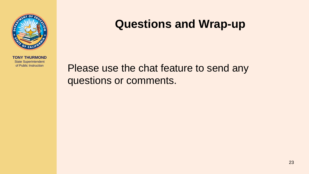

## **Questions and Wrap-up**

Please use the chat feature to send any questions or comments.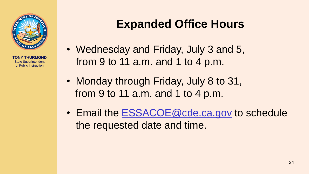

## **Expanded Office Hours**

- Wednesday and Friday, July 3 and 5, from 9 to 11 a.m. and 1 to 4 p.m.
- Monday through Friday, July 8 to 31, from 9 to 11 a.m. and 1 to 4 p.m.
- Email the [ESSACOE@cde.ca.gov](mailto:ESSACOE@cde.ca.gov) to schedule the requested date and time.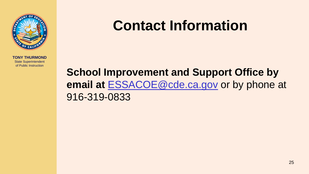

# **Contact Information**

### **School Improvement and Support Office by email at** [ESSACOE@cde.ca.gov](mailto:ESSACOE@cde.ca.gov) or by phone at 916-319-0833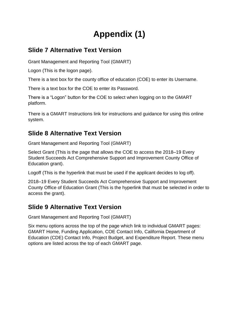### **Appendix (1)**

#### **Slide 7 Alternative Text Version**

Grant Management and Reporting Tool (GMART)

Logon (This is the logon page).

There is a text box for the county office of education (COE) to enter its Username.

There is a text box for the COE to enter its Password.

There is a "Logon" button for the COE to select when logging on to the GMART platform.

There is a GMART Instructions link for instructions and guidance for using this online system.

#### **Slide 8 Alternative Text Version**

Grant Management and Reporting Tool (GMART)

Select Grant (This is the page that allows the COE to access the 2018–19 Every Student Succeeds Act Comprehensive Support and Improvement County Office of Education grant).

Logoff (This is the hyperlink that must be used if the applicant decides to log off).

2018–19 Every Student Succeeds Act Comprehensive Support and Improvement County Office of Education Grant (This is the hyperlink that must be selected in order to access the grant).

#### **Slide 9 Alternative Text Version**

Grant Management and Reporting Tool (GMART)

Six menu options across the top of the page which link to individual GMART pages: GMART Home, Funding Application, COE Contact Info, California Department of Education (CDE) Contact Info, Project Budget, and Expenditure Report. These menu options are listed across the top of each GMART page.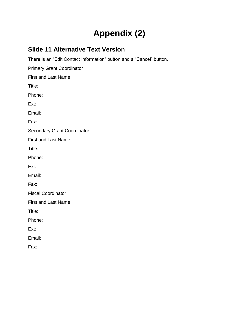### **Appendix (2)**

#### **Slide 11 Alternative Text Version**

There is an "Edit Contact Information" button and a "Cancel" button.

Primary Grant Coordinator

First and Last Name:

Title:

Phone:

Ext:

Email:

Fax:

Secondary Grant Coordinator

First and Last Name:

Title:

Phone:

Ext:

Email:

Fax:

Fiscal Coordinator

First and Last Name:

Title:

Phone:

Ext:

Email:

Fax: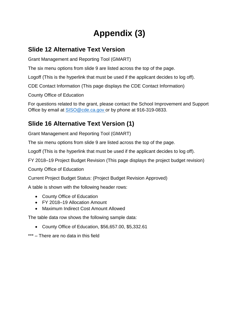### **Appendix (3)**

#### **Slide 12 Alternative Text Version**

Grant Management and Reporting Tool (GMART)

The six menu options from slide 9 are listed across the top of the page.

Logoff (This is the hyperlink that must be used if the applicant decides to log off).

CDE Contact Information (This page displays the CDE Contact Information)

County Office of Education

For questions related to the grant, please contact the School Improvement and Support Office by email at [SISO@cde.ca.gov](mailto:SISO@cde.ca.gov) or by phone at 916-319-0833.

#### **Slide 16 Alternative Text Version (1)**

Grant Management and Reporting Tool (GMART)

The six menu options from slide 9 are listed across the top of the page.

Logoff (This is the hyperlink that must be used if the applicant decides to log off).

FY 2018–19 Project Budget Revision (This page displays the project budget revision)

County Office of Education

Current Project Budget Status: (Project Budget Revision Approved)

A table is shown with the following header rows:

- County Office of Education
- FY 2018–19 Allocation Amount
- Maximum Indirect Cost Amount Allowed

The table data row shows the following sample data:

- County Office of Education, \$56,657.00, \$5,332.61
- \*\*\* There are no data in this field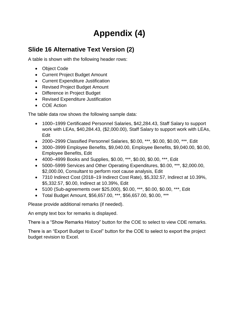### **Appendix (4)**

#### **Slide 16 Alternative Text Version (2)**

A table is shown with the following header rows:

- Object Code
- Current Project Budget Amount
- Current Expenditure Justification
- Revised Project Budget Amount
- Difference in Project Budget
- Revised Expenditure Justification
- COE Action

The table data row shows the following sample data:

- 1000–1999 Certificated Personnel Salaries, \$42,284.43, Staff Salary to support work with LEAs, \$40,284.43, (\$2,000.00), Staff Salary to support work with LEAs, Edit
- 2000–2999 Classified Personnel Salaries, \$0.00, \*\*\*, \$0.00, \$0.00, \*\*\*, Edit
- 3000–3999 Employee Benefits, \$9,040.00, Employee Benefits, \$9,040.00, \$0.00, Employee Benefits, Edit
- 4000–4999 Books and Supplies, \$0.00, \*\*\*, \$0.00, \$0.00, \*\*\*, Edit
- 5000–5999 Services and Other Operating Expenditures, \$0.00, \*\*\*, \$2,000.00, \$2,000.00, Consultant to perform root cause analysis, Edit
- 7310 Indirect Cost (2018–19 Indirect Cost Rate), \$5,332.57, Indirect at 10.39%, \$5,332.57, \$0.00, Indirect at 10.39%, Edit
- 5100 (Sub-agreements over \$25,000), \$0.00, \*\*\*, \$0.00, \$0.00, \*\*\*, Edit
- Total Budget Amount, \$56,657.00, \*\*\*, \$56,657.00, \$0.00, \*\*\*

Please provide additional remarks (if needed).

An empty text box for remarks is displayed.

There is a "Show Remarks History" button for the COE to select to view CDE remarks.

There is an "Export Budget to Excel" button for the COE to select to export the project budget revision to Excel.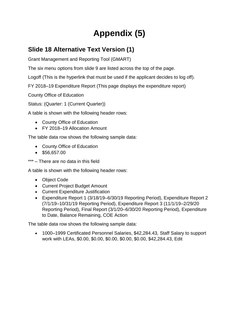### **Appendix (5)**

#### **Slide 18 Alternative Text Version (1)**

Grant Management and Reporting Tool (GMART)

The six menu options from slide 9 are listed across the top of the page.

Logoff (This is the hyperlink that must be used if the applicant decides to log off).

FY 2018–19 Expenditure Report (This page displays the expenditure report)

County Office of Education

Status: (Quarter: 1 (Current Quarter))

A table is shown with the following header rows:

- County Office of Education
- FY 2018–19 Allocation Amount

The table data row shows the following sample data:

- County Office of Education
- $\bullet$  \$56,657.00
- \*\*\* There are no data in this field

A table is shown with the following header rows:

- Object Code
- Current Project Budget Amount
- Current Expenditure Justification
- Expenditure Report 1 (3/18/19–6/30/19 Reporting Period), Expenditure Report 2 (7/1/19–10/31/19 Reporting Period), Expenditure Report 3 (11/1/19–2/29/20 Reporting Period), Final Report (3/1/20–6/30/20 Reporting Period), Expenditure to Date, Balance Remaining, COE Action

The table data row shows the following sample data:

 1000–1999 Certificated Personnel Salaries, \$42,284.43, Staff Salary to support work with LEAs, \$0.00, \$0.00, \$0.00, \$0.00, \$0.00, \$42,284.43, Edit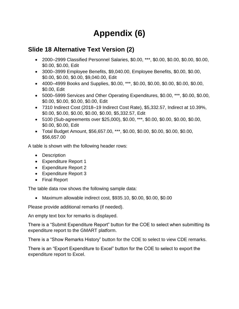### **Appendix (6)**

#### **Slide 18 Alternative Text Version (2)**

- 2000–2999 Classified Personnel Salaries, \$0.00, \*\*\*, \$0.00, \$0.00, \$0.00, \$0.00, \$0.00, \$0.00, Edit
- 3000–3999 Employee Benefits, \$9,040.00, Employee Benefits, \$0.00, \$0.00, \$0.00, \$0.00, \$0.00, \$9,040.00, Edit
- 4000–4999 Books and Supplies, \$0.00, \*\*\*, \$0.00, \$0.00, \$0.00, \$0.00, \$0.00, \$0.00, Edit
- 5000–5999 Services and Other Operating Expenditures, \$0.00, \*\*\*, \$0.00, \$0.00, \$0.00, \$0.00, \$0.00, \$0.00, Edit
- 7310 Indirect Cost (2018–19 Indirect Cost Rate), \$5,332.57, Indirect at 10.39%, \$0.00, \$0.00, \$0.00, \$0.00, \$0.00, \$5,332.57, Edit
- 5100 (Sub-agreements over \$25,000), \$0.00, \*\*\*, \$0.00, \$0.00, \$0.00, \$0.00, \$0.00, \$0.00, Edit
- Total Budget Amount, \$56,657.00, \*\*\*, \$0.00, \$0.00, \$0.00, \$0.00, \$0.00, \$56,657.00

A table is shown with the following header rows:

- Description
- Expenditure Report 1
- Expenditure Report 2
- Expenditure Report 3
- Final Report

The table data row shows the following sample data:

Maximum allowable indirect cost, \$935.10, \$0.00, \$0.00, \$0.00

Please provide additional remarks (if needed).

An empty text box for remarks is displayed.

There is a "Submit Expenditure Report" button for the COE to select when submitting its expenditure report to the GMART platform.

There is a "Show Remarks History" button for the COE to select to view CDE remarks.

There is an "Export Expenditure to Excel" button for the COE to select to export the expenditure report to Excel.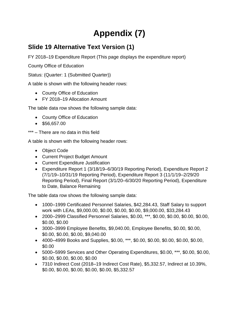### **Appendix (7)**

#### **Slide 19 Alternative Text Version (1)**

FY 2018–19 Expenditure Report (This page displays the expenditure report)

County Office of Education

Status: (Quarter: 1 (Submitted Quarter))

A table is shown with the following header rows:

- County Office of Education
- FY 2018–19 Allocation Amount

The table data row shows the following sample data:

- County Office of Education
- $\bullet$  \$56,657.00
- \*\*\* There are no data in this field

A table is shown with the following header rows:

- Object Code
- Current Project Budget Amount
- Current Expenditure Justification
- Expenditure Report 1 (3/18/19–6/30/19 Reporting Period), Expenditure Report 2 (7/1/19–10/31/19 Reporting Period), Expenditure Report 3 (11/1/19–2/29/20 Reporting Period), Final Report (3/1/20–6/30/20 Reporting Period), Expenditure to Date, Balance Remaining

The table data row shows the following sample data:

- 1000–1999 Certificated Personnel Salaries, \$42,284.43, Staff Salary to support work with LEAs, \$9,000.00, \$0.00, \$0.00, \$0.00, \$9,000.00, \$33,284.43
- 2000–2999 Classified Personnel Salaries, \$0.00, \*\*\*, \$0.00, \$0.00, \$0.00, \$0.00, \$0.00, \$0.00
- 3000–3999 Employee Benefits, \$9,040.00, Employee Benefits, \$0.00, \$0.00, \$0.00, \$0.00, \$0.00, \$9,040.00
- 4000–4999 Books and Supplies, \$0.00, \*\*\*, \$0.00, \$0.00, \$0.00, \$0.00, \$0.00, \$0.00
- 5000–5999 Services and Other Operating Expenditures, \$0.00, \*\*\*, \$0.00, \$0.00, \$0.00, \$0.00, \$0.00, \$0.00
- 7310 Indirect Cost (2018–19 Indirect Cost Rate), \$5,332.57, Indirect at 10.39%, \$0.00, \$0.00, \$0.00, \$0.00, \$0.00, \$5,332.57